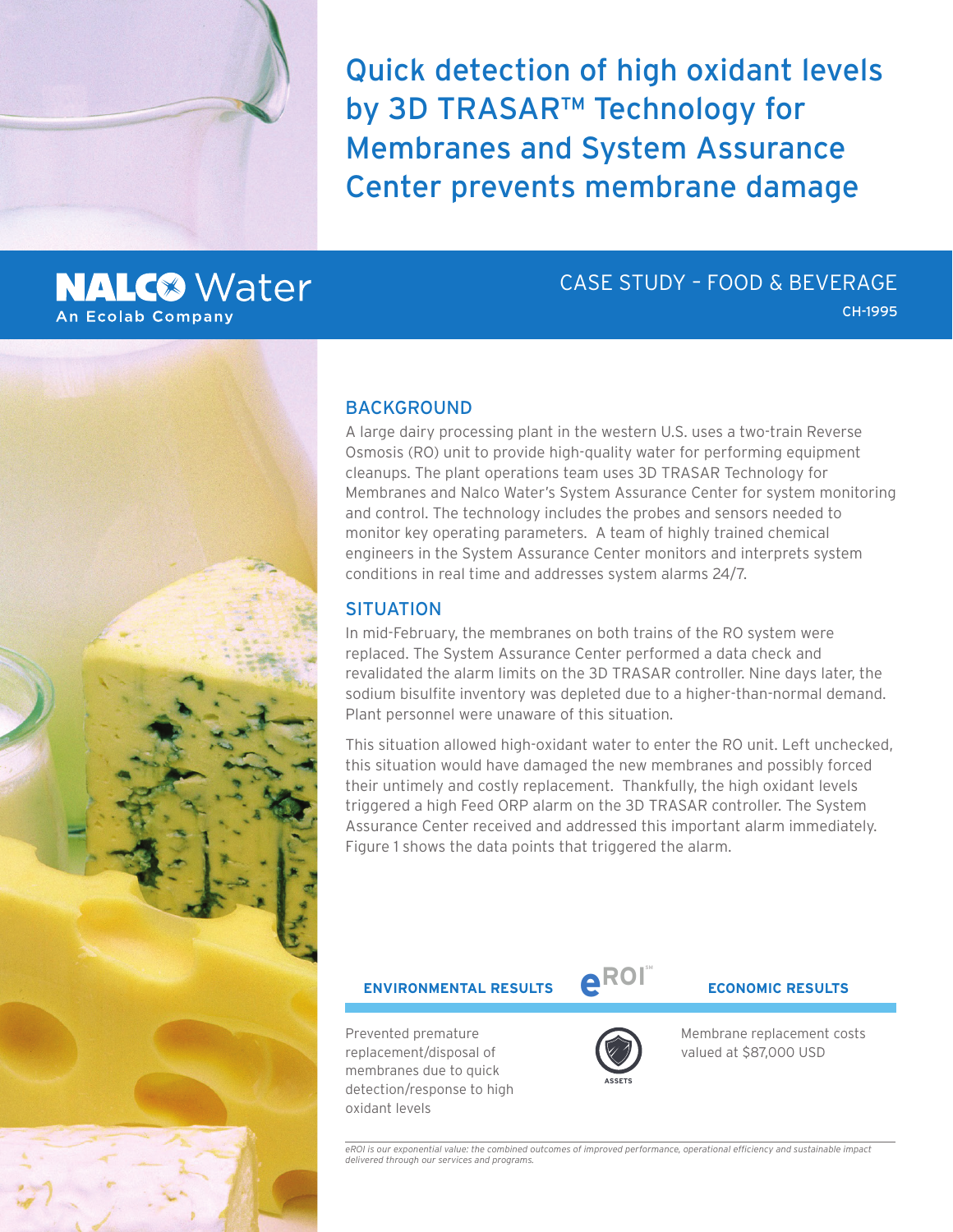Quick detection of high oxidant levels by 3D TRASAR™ Technology for Membranes and System Assurance Center prevents membrane damage

### **NALC<sup>®</sup>** Water **An Ecolab Company**

## CASE STUDY – FOOD & BEVERAGE

CH-1995



#### BACKGROUND

A large dairy processing plant in the western U.S. uses a two-train Reverse Osmosis (RO) unit to provide high-quality water for performing equipment cleanups. The plant operations team uses 3D TRASAR Technology for Membranes and Nalco Water's System Assurance Center for system monitoring and control. The technology includes the probes and sensors needed to monitor key operating parameters. A team of highly trained chemical engineers in the System Assurance Center monitors and interprets system conditions in real time and addresses system alarms 24/7.

#### **SITUATION**

In mid-February, the membranes on both trains of the RO system were replaced. The System Assurance Center performed a data check and revalidated the alarm limits on the 3D TRASAR controller. Nine days later, the sodium bisulfite inventory was depleted due to a higher-than-normal demand. Plant personnel were unaware of this situation.

This situation allowed high-oxidant water to enter the RO unit. Left unchecked, this situation would have damaged the new membranes and possibly forced their untimely and costly replacement. Thankfully, the high oxidant levels triggered a high Feed ORP alarm on the 3D TRASAR controller. The System Assurance Center received and addressed this important alarm immediately. Figure 1 shows the data points that triggered the alarm.

# **ENVIRONMENTAL RESULTS eROI ECONOMIC RESULTS**

Prevented premature replacement/disposal of membranes due to quick detection/response to high oxidant levels



**SM**

Membrane replacement costs valued at \$87,000 USD

*eROI is our exponential value: the combined outcomes of improved performance, operational efficiency and sustainable impact delivered through our services and programs.*